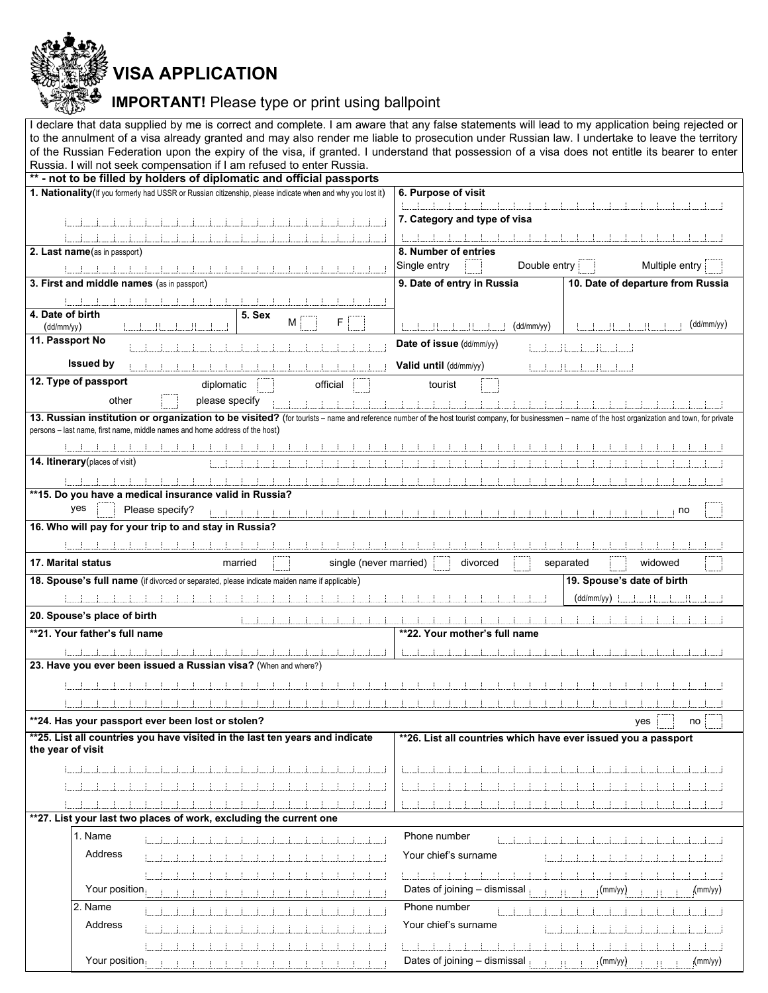VISA APPLICATION

IMPORTANT! Please type or print using ballpoint

| I declare that data supplied by me is correct and complete. I am aware that any false statements will lead to my application being rejected or                                                      |                                                                 |  |  |
|-----------------------------------------------------------------------------------------------------------------------------------------------------------------------------------------------------|-----------------------------------------------------------------|--|--|
| to the annulment of a visa already granted and may also render me liable to prosecution under Russian law. I undertake to leave the territory                                                       |                                                                 |  |  |
| of the Russian Federation upon the expiry of the visa, if granted. I understand that possession of a visa does not entitle its bearer to enter                                                      |                                                                 |  |  |
| Russia. I will not seek compensation if I am refused to enter Russia.                                                                                                                               |                                                                 |  |  |
| ** - not to be filled by holders of diplomatic and official passports                                                                                                                               |                                                                 |  |  |
| 1. Nationality (If you formerly had USSR or Russian citizenship, please indicate when and why you lost it)                                                                                          | 6. Purpose of visit                                             |  |  |
|                                                                                                                                                                                                     |                                                                 |  |  |
|                                                                                                                                                                                                     | 7. Category and type of visa                                    |  |  |
|                                                                                                                                                                                                     |                                                                 |  |  |
| 2. Last name(as in passport)                                                                                                                                                                        | 8. Number of entries                                            |  |  |
|                                                                                                                                                                                                     | Single entry<br>Double entry<br>Multiple entry                  |  |  |
| 3. First and middle names (as in passport)                                                                                                                                                          | 9. Date of entry in Russia<br>10. Date of departure from Russia |  |  |
|                                                                                                                                                                                                     |                                                                 |  |  |
| 4. Date of birth<br>5. Sex                                                                                                                                                                          |                                                                 |  |  |
| F<br>М<br>(dd/mm/yy)                                                                                                                                                                                | (dd/mm/yy)<br>(dd/mm/yy)<br>- H<br>- 88                         |  |  |
| 11. Passport No                                                                                                                                                                                     | Date of issue (dd/mm/yy)                                        |  |  |
|                                                                                                                                                                                                     |                                                                 |  |  |
| <b>Issued by</b>                                                                                                                                                                                    | Valid until (dd/mm/yy)<br>-H                                    |  |  |
| 12. Type of passport<br>diplomatic<br>official<br>tourist                                                                                                                                           |                                                                 |  |  |
| other<br>please specify                                                                                                                                                                             |                                                                 |  |  |
| 13. Russian institution or organization to be visited? (for tourists - name and reference number of the host tourist company, for businessmen - name of the host organization and town, for private |                                                                 |  |  |
| persons - last name, first name, middle names and home address of the host)                                                                                                                         |                                                                 |  |  |
|                                                                                                                                                                                                     |                                                                 |  |  |
| 14. Itinerary (places of visit)                                                                                                                                                                     |                                                                 |  |  |
|                                                                                                                                                                                                     |                                                                 |  |  |
| **15. Do you have a medical insurance valid in Russia?                                                                                                                                              |                                                                 |  |  |
| yes<br>Please specify?                                                                                                                                                                              | no                                                              |  |  |
|                                                                                                                                                                                                     |                                                                 |  |  |
| 16. Who will pay for your trip to and stay in Russia?                                                                                                                                               |                                                                 |  |  |
|                                                                                                                                                                                                     |                                                                 |  |  |
|                                                                                                                                                                                                     |                                                                 |  |  |
| <b>17. Marital status</b><br>single (never married)<br>married                                                                                                                                      | divorced<br>widowed<br>separated                                |  |  |
| 18. Spouse's full name (if divorced or separated, please indicate maiden name if applicable)                                                                                                        | 19. Spouse's date of birth                                      |  |  |
|                                                                                                                                                                                                     |                                                                 |  |  |
|                                                                                                                                                                                                     | (dd/mm/yy)                                                      |  |  |
| 20. Spouse's place of birth                                                                                                                                                                         |                                                                 |  |  |
| **21. Your father's full name                                                                                                                                                                       | **22. Your mother's full name                                   |  |  |
|                                                                                                                                                                                                     |                                                                 |  |  |
| 23. Have you ever been issued a Russian visa? (When and where?)                                                                                                                                     |                                                                 |  |  |
|                                                                                                                                                                                                     |                                                                 |  |  |
|                                                                                                                                                                                                     |                                                                 |  |  |
|                                                                                                                                                                                                     |                                                                 |  |  |
| **24. Has your passport ever been lost or stolen?                                                                                                                                                   | yes<br>no                                                       |  |  |
| **25. List all countries you have visited in the last ten years and indicate                                                                                                                        | ** 26. List all countries which have ever issued you a passport |  |  |
| the year of visit                                                                                                                                                                                   |                                                                 |  |  |
|                                                                                                                                                                                                     |                                                                 |  |  |
|                                                                                                                                                                                                     |                                                                 |  |  |
|                                                                                                                                                                                                     |                                                                 |  |  |
| **27. List your last two places of work, excluding the current one                                                                                                                                  |                                                                 |  |  |
| 1. Name                                                                                                                                                                                             | Phone number                                                    |  |  |
| Address                                                                                                                                                                                             |                                                                 |  |  |
|                                                                                                                                                                                                     | Your chief's surname                                            |  |  |
|                                                                                                                                                                                                     |                                                                 |  |  |
| Your position                                                                                                                                                                                       | Dates of joining - dismissal<br>(mm/yy)<br>$\text{(mm/yy)}$     |  |  |
| 2. Name                                                                                                                                                                                             | Phone number                                                    |  |  |
| Address                                                                                                                                                                                             | Your chief's surname                                            |  |  |
|                                                                                                                                                                                                     |                                                                 |  |  |
| Your position                                                                                                                                                                                       | Dates of joining - dismissal<br>(mm/yy)<br>(mm/yy)              |  |  |